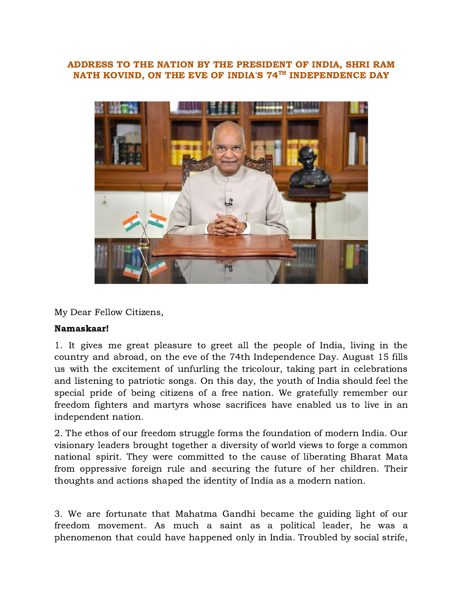## ADDRESS TO THE NATION BY THE PRESIDENT OF INDIA, SHRI RAM NATH KOVIND. ON THE EVE OF INDIA'S 74<sup>TH</sup> INDEPENDENCE DAY



My Dear Fellow Citizens,

## Namaskaar!

1. It gives me great pleasure to greet all the people of India, living in the country and abroad, on the eve of the 74th Independence Day. August 15 fills us with the excitement of unfurling the tricolour, taking part in celebrations and listening to patriotic songs. On this day, the youth of India should feel the special pride of being citizens of a free nation. We gratefully remember our freedom fighters and martyrs whose sacrifices have enabled us to live in an independent nation.

2. The ethos of our freedom struggle forms the foundation of modern India. Our visionary leaders brought together a diversity of world views to forge a common national spirit. They were committed to the cause of liberating Bharat Mata from oppressive foreign rule and securing the future of her children. Their thoughts and actions shaped the identity of India as a modern nation.

3. We are fortunate that Mahatma Gandhi became the guiding light of our freedom movement. As much a saint as a political leader, he was a phenomenon that could have happened only in India. Troubled by social strife,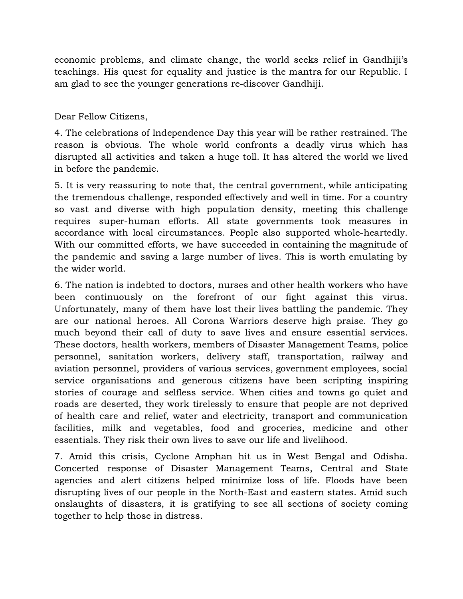economic problems, and climate change, the world seeks relief in Gandhiji's teachings. His quest for equality and justice is the mantra for our Republic. I am glad to see the younger generations re-discover Gandhiji.

Dear Fellow Citizens,

4. The celebrations of Independence Day this year will be rather restrained. The reason is obvious. The whole world confronts a deadly virus which has disrupted all activities and taken a huge toll. It has altered the world we lived in before the pandemic.

5. It is very reassuring to note that, the central government, while anticipating the tremendous challenge, responded effectively and well in time. For a country so vast and diverse with high population density, meeting this challenge requires super-human efforts. All state governments took measures in accordance with local circumstances. People also supported whole-heartedly. With our committed efforts, we have succeeded in containing the magnitude of the pandemic and saving a large number of lives. This is worth emulating by the wider world.

6. The nation is indebted to doctors, nurses and other health workers who have been continuously on the forefront of our fight against this virus. Unfortunately, many of them have lost their lives battling the pandemic. They are our national heroes. All Corona Warriors deserve high praise. They go much beyond their call of duty to save lives and ensure essential services. These doctors, health workers, members of Disaster Management Teams, police personnel, sanitation workers, delivery staff, transportation, railway and aviation personnel, providers of various services, government employees, social service organisations and generous citizens have been scripting inspiring stories of courage and selfless service. When cities and towns go quiet and roads are deserted, they work tirelessly to ensure that people are not deprived of health care and relief, water and electricity, transport and communication facilities, milk and vegetables, food and groceries, medicine and other essentials. They risk their own lives to save our life and livelihood.

7. Amid this crisis, Cyclone Amphan hit us in West Bengal and Odisha. Concerted response of Disaster Management Teams, Central and State agencies and alert citizens helped minimize loss of life. Floods have been disrupting lives of our people in the North-East and eastern states. Amid such onslaughts of disasters, it is gratifying to see all sections of society coming together to help those in distress.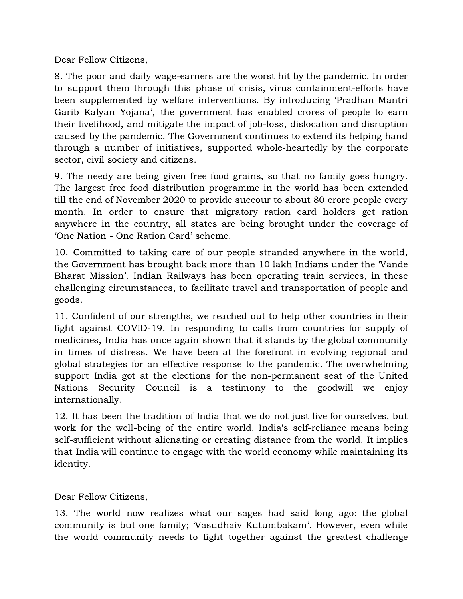Dear Fellow Citizens,

8. The poor and daily wage-earners are the worst hit by the pandemic. In order to support them through this phase of crisis, virus containment-efforts have been supplemented by welfare interventions. By introducing 'Pradhan Mantri Garib Kalyan Yojana', the government has enabled crores of people to earn their livelihood, and mitigate the impact of job-loss, dislocation and disruption caused by the pandemic. The Government continues to extend its helping hand through a number of initiatives, supported whole-heartedly by the corporate sector, civil society and citizens.

9. The needy are being given free food grains, so that no family goes hungry. The largest free food distribution programme in the world has been extended till the end of November 2020 to provide succour to about 80 crore people every month. In order to ensure that migratory ration card holders get ration anywhere in the country, all states are being brought under the coverage of 'One Nation - One Ration Card' scheme.

10. Committed to taking care of our people stranded anywhere in the world, the Government has brought back more than 10 lakh Indians under the 'Vande Bharat Mission'. Indian Railways has been operating train services, in these challenging circumstances, to facilitate travel and transportation of people and goods.

11. Confident of our strengths, we reached out to help other countries in their fight against COVID-19. In responding to calls from countries for supply of medicines, India has once again shown that it stands by the global community in times of distress. We have been at the forefront in evolving regional and global strategies for an effective response to the pandemic. The overwhelming support India got at the elections for the non-permanent seat of the United Nations Security Council is a testimony to the goodwill we enjoy internationally.

12. It has been the tradition of India that we do not just live for ourselves, but work for the well-being of the entire world. India's self-reliance means being self-sufficient without alienating or creating distance from the world. It implies that India will continue to engage with the world economy while maintaining its identity.

Dear Fellow Citizens,

13. The world now realizes what our sages had said long ago: the global community is but one family; 'Vasudhaiv Kutumbakam'. However, even while the world community needs to fight together against the greatest challenge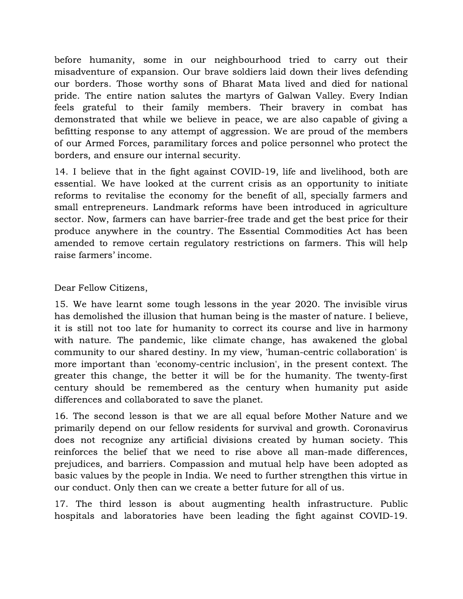before humanity, some in our neighbourhood tried to carry out their misadventure of expansion. Our brave soldiers laid down their lives defending our borders. Those worthy sons of Bharat Mata lived and died for national pride. The entire nation salutes the martyrs of Galwan Valley. Every Indian feels grateful to their family members. Their bravery in combat has demonstrated that while we believe in peace, we are also capable of giving a befitting response to any attempt of aggression. We are proud of the members of our Armed Forces, paramilitary forces and police personnel who protect the borders, and ensure our internal security.

14. I believe that in the fight against COVID-19, life and livelihood, both are essential. We have looked at the current crisis as an opportunity to initiate reforms to revitalise the economy for the benefit of all, specially farmers and small entrepreneurs. Landmark reforms have been introduced in agriculture sector. Now, farmers can have barrier-free trade and get the best price for their produce anywhere in the country. The Essential Commodities Act has been amended to remove certain regulatory restrictions on farmers. This will help raise farmers' income.

Dear Fellow Citizens,

15. We have learnt some tough lessons in the year 2020. The invisible virus has demolished the illusion that human being is the master of nature. I believe, it is still not too late for humanity to correct its course and live in harmony with nature. The pandemic, like climate change, has awakened the global community to our shared destiny. In my view, 'human-centric collaboration' is more important than 'economy-centric inclusion', in the present context. The greater this change, the better it will be for the humanity. The twenty-first century should be remembered as the century when humanity put aside differences and collaborated to save the planet.

16. The second lesson is that we are all equal before Mother Nature and we primarily depend on our fellow residents for survival and growth. Coronavirus does not recognize any artificial divisions created by human society. This reinforces the belief that we need to rise above all man-made differences, prejudices, and barriers. Compassion and mutual help have been adopted as basic values by the people in India. We need to further strengthen this virtue in our conduct. Only then can we create a better future for all of us.

17. The third lesson is about augmenting health infrastructure. Public hospitals and laboratories have been leading the fight against COVID-19.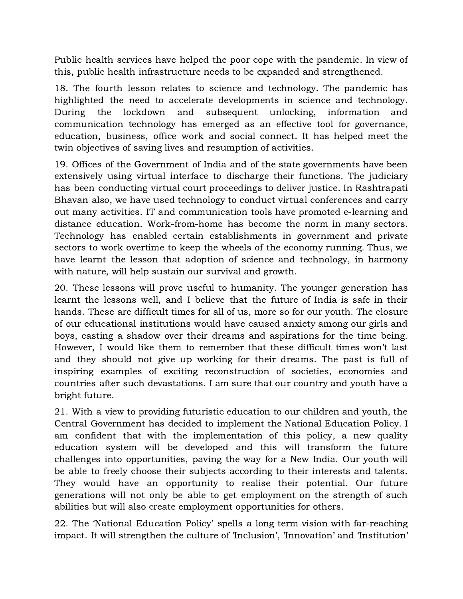Public health services have helped the poor cope with the pandemic. In view of this, public health infrastructure needs to be expanded and strengthened.

18. The fourth lesson relates to science and technology. The pandemic has highlighted the need to accelerate developments in science and technology. During the lockdown and subsequent unlocking, information and communication technology has emerged as an effective tool for governance, education, business, office work and social connect. It has helped meet the twin objectives of saving lives and resumption of activities.

19. Offices of the Government of India and of the state governments have been extensively using virtual interface to discharge their functions. The judiciary has been conducting virtual court proceedings to deliver justice. In Rashtrapati Bhavan also, we have used technology to conduct virtual conferences and carry out many activities. IT and communication tools have promoted e-learning and distance education. Work-from-home has become the norm in many sectors. Technology has enabled certain establishments in government and private sectors to work overtime to keep the wheels of the economy running. Thus, we have learnt the lesson that adoption of science and technology, in harmony with nature, will help sustain our survival and growth.

20. These lessons will prove useful to humanity. The younger generation has learnt the lessons well, and I believe that the future of India is safe in their hands. These are difficult times for all of us, more so for our youth. The closure of our educational institutions would have caused anxiety among our girls and boys, casting a shadow over their dreams and aspirations for the time being. However, I would like them to remember that these difficult times won't last and they should not give up working for their dreams. The past is full of inspiring examples of exciting reconstruction of societies, economies and countries after such devastations. I am sure that our country and youth have a bright future.

21. With a view to providing futuristic education to our children and youth, the Central Government has decided to implement the National Education Policy. I am confident that with the implementation of this policy, a new quality education system will be developed and this will transform the future challenges into opportunities, paving the way for a New India. Our youth will be able to freely choose their subjects according to their interests and talents. They would have an opportunity to realise their potential. Our future generations will not only be able to get employment on the strength of such abilities but will also create employment opportunities for others.

22. The 'National Education Policy' spells a long term vision with far-reaching impact. It will strengthen the culture of 'Inclusion', 'Innovation' and 'Institution'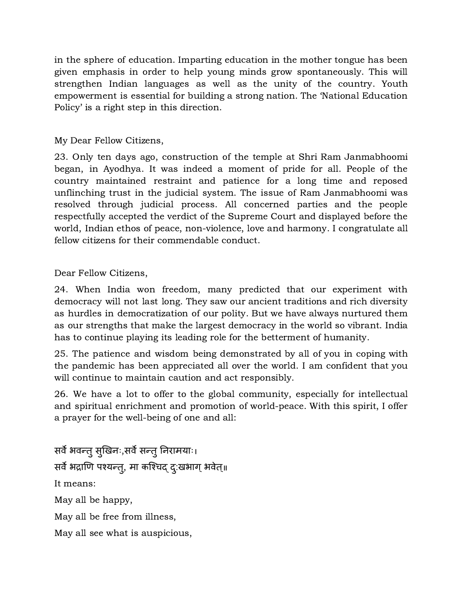in the sphere of education. Imparting education in the mother tongue has been given emphasis in order to help young minds grow spontaneously. This will strengthen Indian languages as well as the unity of the country. Youth empowerment is essential for building a strong nation. The 'National Education Policy' is a right step in this direction.

## My Dear Fellow Citizens,

23. Only ten days ago, construction of the temple at Shri Ram Janmabhoomi began, in Ayodhya. It was indeed a moment of pride for all. People of the country maintained restraint and patience for a long time and reposed unflinching trust in the judicial system. The issue of Ram Janmabhoomi was resolved through judicial process. All concerned parties and the people respectfully accepted the verdict of the Supreme Court and displayed before the world, Indian ethos of peace, non-violence, love and harmony. I congratulate all fellow citizens for their commendable conduct.

Dear Fellow Citizens,

24. When India won freedom, many predicted that our experiment with democracy will not last long. They saw our ancient traditions and rich diversity as hurdles in democratization of our polity. But we have always nurtured them as our strengths that make the largest democracy in the world so vibrant. India has to continue playing its leading role for the betterment of humanity.

25. The patience and wisdom being demonstrated by all of you in coping with the pandemic has been appreciated all over the world. I am confident that you will continue to maintain caution and act responsibly.

26. We have a lot to offer to the global community, especially for intellectual and spiritual enrichment and promotion of world-peace. With this spirit, I offer a prayer for the well-being of one and all:

सर्वे भवन्तु सुखिनः,सर्वे सन्तु निरामयाः। सर्वे भद्राणि पश्यन्त्, मा कश्चिद् दु:खभाग् भवेत्॥ It means: May all be happy, May all be free from illness,

May all see what is auspicious,